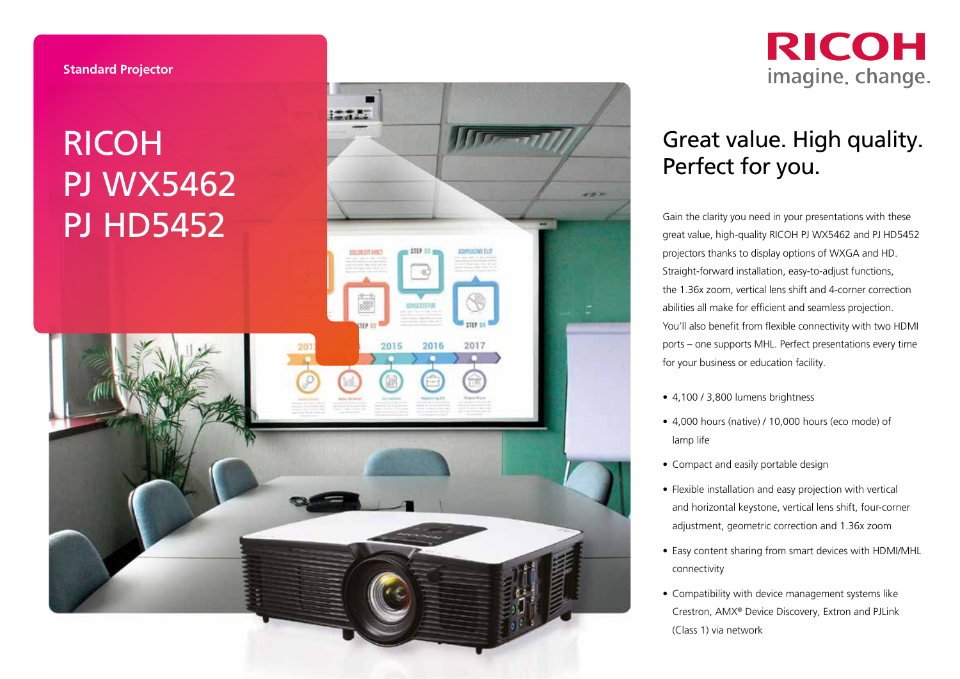## RICOH PJ WX5462





## Great value. High quality. Perfect for you.

Gain the clarity you need in your presentations with these great value, high-quality RICOH PJ WX5462 and PJ HD5452 projectors thanks to display options of WXGA and HD. Straight-forward installation, easy-to-adjust functions, the 1.36x zoom, vertical lens shift and 4-corner correction abilities all make for efficient and seamless projection. You'll also benefit from flexible connectivity with two HDMI ports – one supports MHL. Perfect presentations every time for your business or education facility.<br>• 4,100 / 3,800 lumens brightness

- 
- 4,000 hours (native) / 10,000 hours (eco mode) of lamp life
- 
- Compact and easily portable design Flexible installation and easy projection with vertical and horizontal keystone, vertical lens shift, four-corner adjustment, geometric correction and 1.36x zoom
- Easy content sharing from smart devices with HDMI/MHL connectivity
- Compatibility with device management systems like Crestron, AMX ® Device Discovery, Extron and PJLink (Class 1) via network